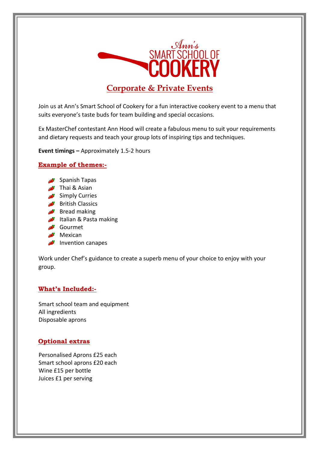

# **Corporate & Private Events**

Join us at Ann's Smart School of Cookery for a fun interactive cookery event to a menu that suits everyone's taste buds for team building and special occasions.

Ex MasterChef contestant Ann Hood will create a fabulous menu to suit your requirements and dietary requests and teach your group lots of inspiring tips and techniques.

**Event timings –** Approximately 1.5-2 hours

# **Example of themes:-**

- Spanish Tapas
- $\rightarrow$  Thai & Asian
- Simply Curries
- **British Classics**
- $\bullet$  Bread making
- Italian & Pasta making
- Gourmet
- $\rightarrow$  Mexican
- $\rightarrow$  Invention canapes

Work under Chef's guidance to create a superb menu of your choice to enjoy with your group.

# **What's Included:-**

Smart school team and equipment All ingredients Disposable aprons

# **Optional extras**

Personalised Aprons £25 each Smart school aprons £20 each Wine £15 per bottle Juices £1 per serving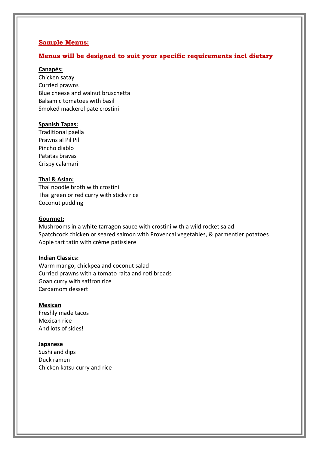## **Sample Menus:**

## **Menus will be designed to suit your specific requirements incl dietary**

## **Canapés:**

Chicken satay Curried prawns Blue cheese and walnut bruschetta Balsamic tomatoes with basil Smoked mackerel pate crostini

## **Spanish Tapas:**

Traditional paella Prawns al Pil Pil Pincho diablo Patatas bravas Crispy calamari

## **Thai & Asian:**

Thai noodle broth with crostini Thai green or red curry with sticky rice Coconut pudding

#### **Gourmet:**

Mushrooms in a white tarragon sauce with crostini with a wild rocket salad Spatchcock chicken or seared salmon with Provencal vegetables, & parmentier potatoes Apple tart tatin with crème patissiere

#### **Indian Classics:**

Warm mango, chickpea and coconut salad Curried prawns with a tomato raita and roti breads Goan curry with saffron rice Cardamom dessert

#### **Mexican**

Freshly made tacos Mexican rice And lots of sides!

#### **Japanese**

Sushi and dips Duck ramen Chicken katsu curry and rice